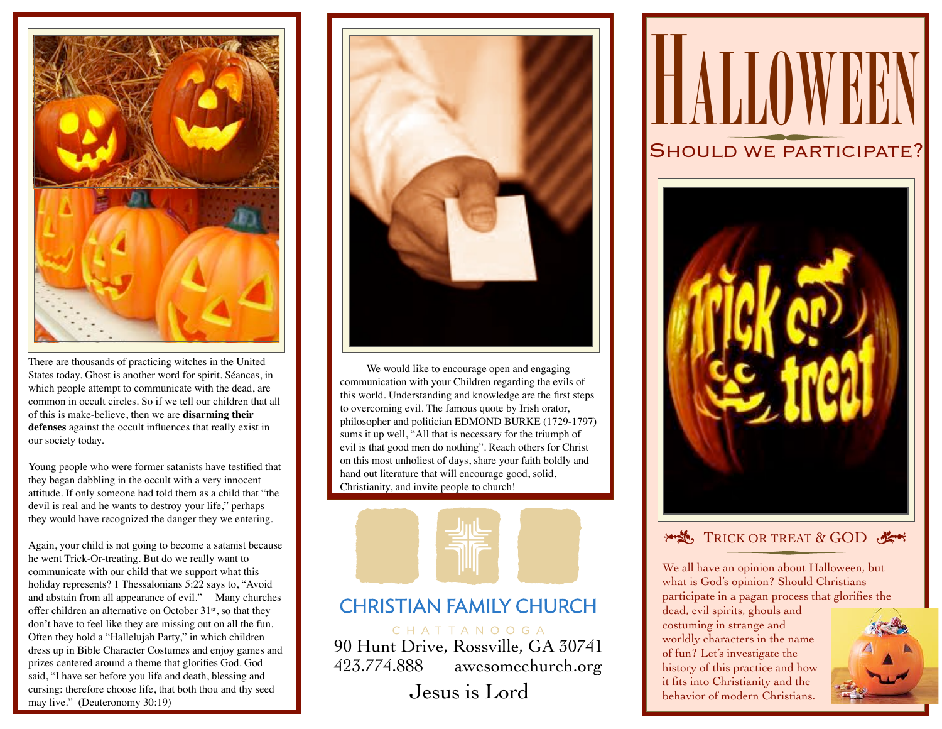

There are thousands of practicing witches in the United States today. Ghost is another word for spirit. Séances, in which people attempt to communicate with the dead, are common in occult circles. So if we tell our children that all of this is make-believe, then we are **disarming their defenses** against the occult influences that really exist in our society today.

Young people who were former satanists have testified that they began dabbling in the occult with a very innocent attitude. If only someone had told them as a child that "the devil is real and he wants to destroy your life," perhaps they would have recognized the danger they we entering.

Again, your child is not going to become a satanist because he went Trick-Or-treating. But do we really want to communicate with our child that we support what this holiday represents? 1 Thessalonians 5:22 says to, "Avoid and abstain from all appearance of evil." Many churches offer children an alternative on October 31st, so that they don't have to feel like they are missing out on all the fun. Often they hold a "Hallelujah Party," in which children dress up in Bible Character Costumes and enjoy games and prizes centered around a theme that glorifies God. God said, "I have set before you life and death, blessing and cursing: therefore choose life, that both thou and thy seed may live." (Deuteronomy 30:19)



We would like to encourage open and engaging communication with your Children regarding the evils of this world. Understanding and knowledge are the first steps to overcoming evil. The famous quote by Irish orator, philosopher and politician EDMOND BURKE (1729-1797) sums it up well, "All that is necessary for the triumph of evil is that good men do nothing". Reach others for Christ on this most unholiest of days, share your faith boldly and hand out literature that will encourage good, solid, Christianity, and invite people to church!



## **CHRISTIAN FAMILY CHURCH**

CHATTANOOGA 90 Hunt Drive, Rossville, GA 30741 423.774.888 awesomechurch.org

Jesus is Lord





## **\*\*\*** TRICK OR TREAT & GOD

We all have an opinion about Halloween, but what is God's opinion? Should Christians participate in a pagan process that glorifies the

dead, evil spirits, ghouls and costuming in strange and worldly characters in the name of fun? Let's investigate the history of this practice and how it fits into Christianity and the behavior of modern Christians.

![](_page_0_Picture_15.jpeg)